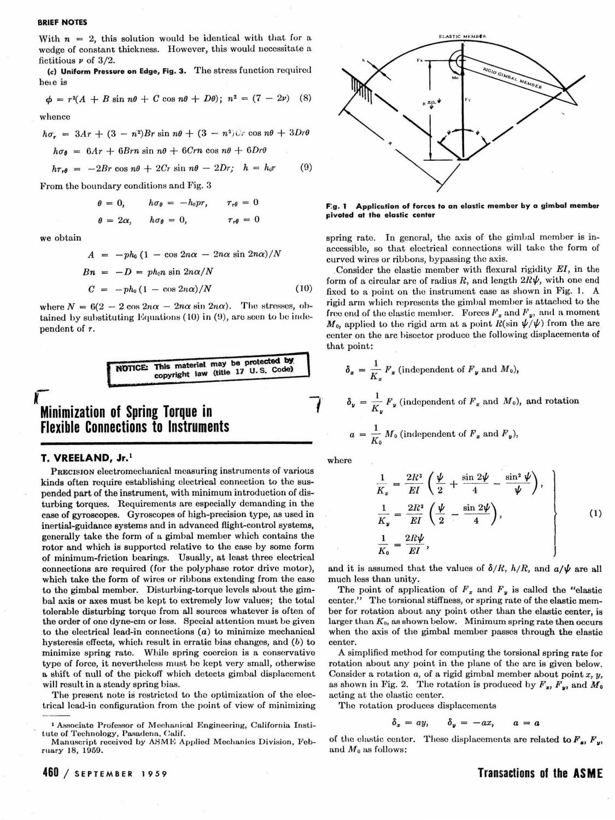#### BRIEF NOTES

With  $n = 2$ , this solution would be identical with that for a wedge of constant thickness. However, this would necessitate a fictitious  $\nu$  of 3/2.

(c) Uniform Pressure on Edge, Fig. 3. The stress function required here is

 $\phi = r^3(A + B \sin n\theta + C \cos n\theta + D\theta); n^2 = (7 - 2\nu)$  (8)

whence

$$
h\sigma_r = 3Ar + (3 - n^2)Br \sin n\theta + (3 - n^2)Cr \cos n\theta + 3Dr\theta
$$

 $h\sigma_{\theta} = 6Ar + 6Brn \sin n\theta + 6Crn \cos n\theta + 6Dr\theta$ 

$$
h\tau_{r\theta} = -2Br \cos n\theta + 2Cr \sin n\theta - 2Dr; \quad h = h_0r \tag{9}
$$

From the boundary conditions and Fig. 3

$$
\theta = 0, \qquad h\sigma_{\theta} = -h_0pr, \qquad \tau_{r\theta} = 0
$$

$$
\theta = 2\alpha, \qquad h\sigma_{\theta} = 0, \qquad \qquad \tau_{r\theta} = 0
$$

we obtain

 $A = -ph_0 (1 - \cos 2n\alpha - 2n\alpha \sin 2n\alpha)/N$  $Bn = -D = ph_0 n \sin 2n\alpha/N$  $C = -ph_0 (1 - \cos 2n\alpha)/N$  (10)

where  $N = 6(2 - 2 \cos 2n\alpha - 2n\alpha \sin 2n\alpha)$ . The stresses, obtained by substituting Equations (10) in  $(9)$ , are seen to be independent of r.

NOTICE: This material may be protected by.<br>copyright law (title 17 U.S. Code).

# $\bar{\mathcal{K}}$ Minimization of Spring Torque in Flexible Connections to Instruments

## T. VREELAND, Jr.<sup>1</sup>

PRECISION electromechanical measuring instruments of various kinds often require establishing electrical connection to the suspended part of the instrument, with minimum introduction of disturbing torques. Requirements are especially demanding in the case of gyroscopes. Gyroscopes of high-precision type, as used in inertial-guidance systems and in advanced flight-control systems, generally take the form of a gimbal member which contains the rotor and which is supported relative to the case by some form of minimum-friction bearings. Usually, at least three electrieal connections are required (for the polyphase rotor drive motor), which take the form of wires or ribbons extending from the case to the gimbal member. Disturbing-torque levels about the gimbal axis or axes must be kept to extremely low values; the total tolerable disturbing torque from all sources whatever is often of the order of one dyne-ern or less. Special attention must be given to the electrical lead-in connections (a) to minimize mechanical hysteresis effects, which result in erratic bias changes, and  $(b)$  to minimize spring rate. While spring coercion is a conservativo type of force, it nevertheless must be kept very small, otherwise a shift of null of the pickoff which detects gimbal displacement will result in a steady spring bias.

The present note is restricted to the optimization of the electrical lead-in configuration from the point of view of minimizing

Manuscript received by ASME Applied Mechanics Division, February 18, 1959.

460 I sEpTEMBER 1 9 *59* 



F:g. 1 Application of forces to an elastic member by a gimbal member Fivoted at the elastic center

spring rate. In general, the axis of the gimbal member is inaccessible, so that electrical connections will take the form of curved wires or ribbons, bypassing the axis .

. Consider the elastic member with flexural rigidity *EI,* in the form of a circular arc of radius  $R$ , and length  $2R\psi$ , with one end fixed to a point on the instrument case as shown in Fig. 1. A rigid arm which represents the gimbal member is attached to the free end of the elastic member. Forces  $F_x$  and  $F_y$ , and a moment  $M_0$ , applied to the rigid arm at a point  $R(\sin \psi/\psi)$  from the arc center on the arc bisector produce the following displacements of that point:

$$
\delta_x = \frac{1}{K_x} F_x
$$
 (independent of  $F_y$  and  $M_0$ ),  
\n
$$
\delta_y = \frac{1}{K_y} F_y
$$
 (independent of  $F_x$  and  $M_0$ ), and rotation  
\n
$$
a = \frac{1}{K_0} M_0
$$
 (independent of  $F_x$  and  $F_y$ ),

where

$$
\frac{1}{K_z} = \frac{2R^3}{EI} \left( \frac{\psi}{2} + \frac{\sin 2\psi}{4} - \frac{\sin^2 \psi}{\psi} \right),
$$
\n
$$
\frac{1}{K_y} = \frac{2R^3}{EI} \left( \frac{\psi}{2} - \frac{\sin 2\psi}{4} \right),
$$
\n
$$
\frac{1}{K_0} = \frac{2R\psi}{EI},
$$
\n(1)

and it is assumed that the values of  $\delta/R$ ,  $h/R$ , and  $a/\psi$  are all much less than unity.

The point of application of  $F_x$  and  $F_y$  is called the "elastic center." The torsional stiffness, or spring rate of the elastic member for rotation about any point other than the elastic center, is larger than  $K_0$ , as shown below. Minimum spring rate then occurs when the axis of the gimbal member passes through the elastic center.

A simplified method for computing the torsionaJ spring rate for rotation about any point in the plane of the arc is given below. Consider a rotation  $a$ , of a rigid gimbal member about point  $x, y$ , as shown in Fig. 2. The rotation is produced by  $F_x$ ,  $F_y$ , and  $M_0$ acting at the clastic center.

The rotation produces displacements

$$
\delta_x = ay, \qquad \delta_y = -ax, \qquad a = a
$$

of the clastic center. These displacements are related to  $F_x$ ,  $F_w$ and  $M_0$  as follows:

Transactions of the ASM E

<sup>&</sup>lt;sup>1</sup> Associate Professor of Mechanical Engineering, California Institute of Technology, Pasadena, Calif.